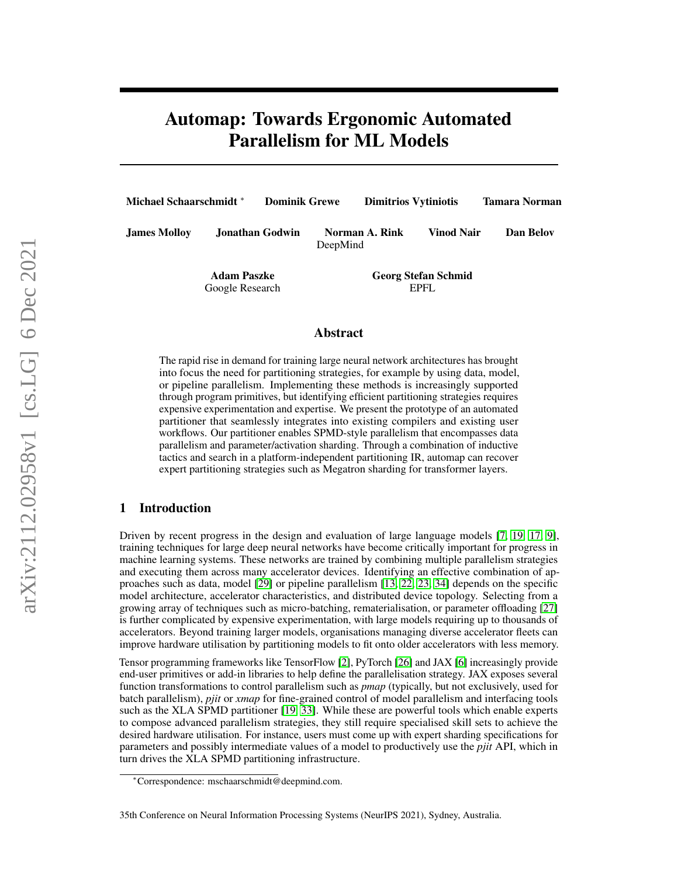# Automap: Towards Ergonomic Automated Parallelism for ML Models

| <b>Michael Schaarschmidt</b> * |                                       | <b>Dominik Grewe</b> |                                     | <b>Dimitrios Vytiniotis</b> |  | <b>Tamara Norman</b>           |  |
|--------------------------------|---------------------------------------|----------------------|-------------------------------------|-----------------------------|--|--------------------------------|--|
| <b>James Mollov</b>            |                                       | Jonathan Godwin      |                                     | Norman A. Rink<br>DeepMind  |  | <b>Vinod Nair</b><br>Dan Belov |  |
|                                | <b>Adam Paszke</b><br>Google Research |                      | <b>Georg Stefan Schmid</b><br>EPFL. |                             |  |                                |  |

## Abstract

The rapid rise in demand for training large neural network architectures has brought into focus the need for partitioning strategies, for example by using data, model, or pipeline parallelism. Implementing these methods is increasingly supported through program primitives, but identifying efficient partitioning strategies requires expensive experimentation and expertise. We present the prototype of an automated partitioner that seamlessly integrates into existing compilers and existing user workflows. Our partitioner enables SPMD-style parallelism that encompasses data parallelism and parameter/activation sharding. Through a combination of inductive tactics and search in a platform-independent partitioning IR, automap can recover expert partitioning strategies such as Megatron sharding for transformer layers.

# 1 Introduction

Driven by recent progress in the design and evaluation of large language models [\[7,](#page-7-0) [19,](#page-8-0) [17,](#page-8-1) [9\]](#page-7-1), training techniques for large deep neural networks have become critically important for progress in machine learning systems. These networks are trained by combining multiple parallelism strategies and executing them across many accelerator devices. Identifying an effective combination of approaches such as data, model [\[29\]](#page-9-0) or pipeline parallelism [\[13,](#page-8-2) [22,](#page-8-3) [23,](#page-9-1) [34\]](#page-9-2) depends on the specific model architecture, accelerator characteristics, and distributed device topology. Selecting from a growing array of techniques such as micro-batching, rematerialisation, or parameter offloading [\[27\]](#page-9-3) is further complicated by expensive experimentation, with large models requiring up to thousands of accelerators. Beyond training larger models, organisations managing diverse accelerator fleets can improve hardware utilisation by partitioning models to fit onto older accelerators with less memory.

Tensor programming frameworks like TensorFlow [\[2\]](#page-6-0), PyTorch [\[26\]](#page-9-4) and JAX [\[6\]](#page-7-2) increasingly provide end-user primitives or add-in libraries to help define the parallelisation strategy. JAX exposes several function transformations to control parallelism such as *pmap* (typically, but not exclusively, used for batch parallelism), *pjit* or *xmap* for fine-grained control of model parallelism and interfacing tools such as the XLA SPMD partitioner [\[19,](#page-8-0) [33\]](#page-9-5). While these are powerful tools which enable experts to compose advanced parallelism strategies, they still require specialised skill sets to achieve the desired hardware utilisation. For instance, users must come up with expert sharding specifications for parameters and possibly intermediate values of a model to productively use the *pjit* API, which in turn drives the XLA SPMD partitioning infrastructure.

<sup>∗</sup>Correspondence: mschaarschmidt@deepmind.com.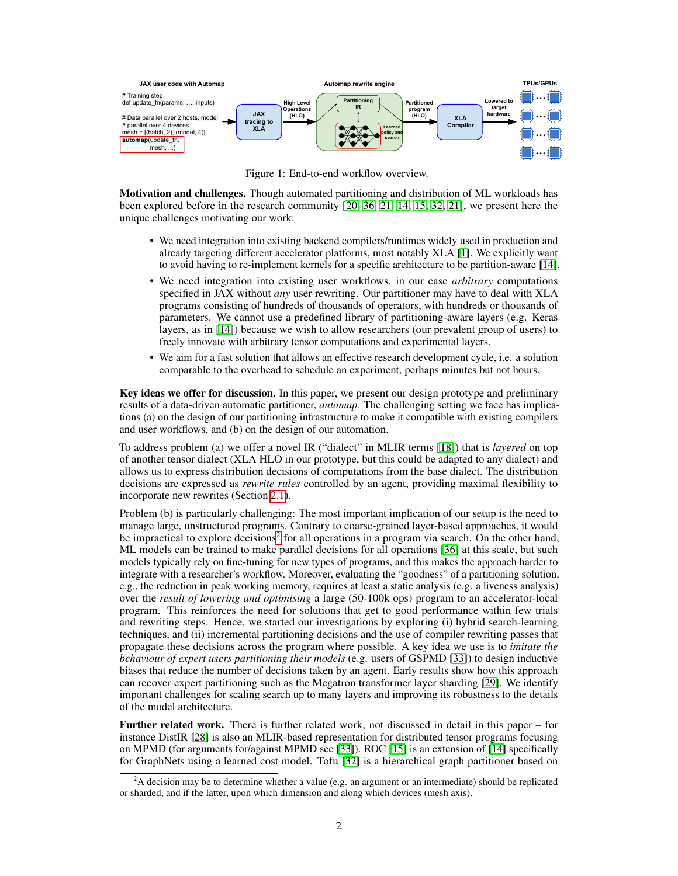<span id="page-1-1"></span>

Figure 1: End-to-end workflow overview.

Motivation and challenges. Though automated partitioning and distribution of ML workloads has been explored before in the research community [\[20,](#page-8-4) [36,](#page-10-0) [21,](#page-8-5) [14,](#page-8-6) [15,](#page-8-7) [32,](#page-9-6) [21\]](#page-8-5), we present here the unique challenges motivating our work:

- We need integration into existing backend compilers/runtimes widely used in production and already targeting different accelerator platforms, most notably XLA [\[1\]](#page-6-1). We explicitly want to avoid having to re-implement kernels for a specific architecture to be partition-aware [\[14\]](#page-8-6).
- We need integration into existing user workflows, in our case *arbitrary* computations specified in JAX without *any* user rewriting. Our partitioner may have to deal with XLA programs consisting of hundreds of thousands of operators, with hundreds or thousands of parameters. We cannot use a predefined library of partitioning-aware layers (e.g. Keras layers, as in [\[14\]](#page-8-6)) because we wish to allow researchers (our prevalent group of users) to freely innovate with arbitrary tensor computations and experimental layers.
- We aim for a fast solution that allows an effective research development cycle, i.e. a solution comparable to the overhead to schedule an experiment, perhaps minutes but not hours.

Key ideas we offer for discussion. In this paper, we present our design prototype and preliminary results of a data-driven automatic partitioner, *automap*. The challenging setting we face has implications (a) on the design of our partitioning infrastructure to make it compatible with existing compilers and user workflows, and (b) on the design of our automation.

To address problem (a) we offer a novel IR ("dialect" in MLIR terms [\[18\]](#page-8-8)) that is *layered* on top of another tensor dialect (XLA HLO in our prototype, but this could be adapted to any dialect) and allows us to express distribution decisions of computations from the base dialect. The distribution decisions are expressed as *rewrite rules* controlled by an agent, providing maximal flexibility to incorporate new rewrites (Section [2.1\)](#page-3-0).

Problem (b) is particularly challenging: The most important implication of our setup is the need to manage large, unstructured programs. Contrary to coarse-grained layer-based approaches, it would be impractical to explore decisions<sup>[2](#page-1-0)</sup> for all operations in a program via search. On the other hand, ML models can be trained to make parallel decisions for all operations [\[36\]](#page-10-0) at this scale, but such models typically rely on fine-tuning for new types of programs, and this makes the approach harder to integrate with a researcher's workflow. Moreover, evaluating the "goodness" of a partitioning solution, e.g., the reduction in peak working memory, requires at least a static analysis (e.g. a liveness analysis) over the *result of lowering and optimising* a large (50-100k ops) program to an accelerator-local program. This reinforces the need for solutions that get to good performance within few trials and rewriting steps. Hence, we started our investigations by exploring (i) hybrid search-learning techniques, and (ii) incremental partitioning decisions and the use of compiler rewriting passes that propagate these decisions across the program where possible. A key idea we use is to *imitate the behaviour of expert users partitioning their models* (e.g. users of GSPMD [\[33\]](#page-9-5)) to design inductive biases that reduce the number of decisions taken by an agent. Early results show how this approach can recover expert partitioning such as the Megatron transformer layer sharding [\[29\]](#page-9-0). We identify important challenges for scaling search up to many layers and improving its robustness to the details of the model architecture.

Further related work. There is further related work, not discussed in detail in this paper – for instance DistIR [\[28\]](#page-9-7) is also an MLIR-based representation for distributed tensor programs focusing on MPMD (for arguments for/against MPMD see [\[33\]](#page-9-5)). ROC [\[15\]](#page-8-7) is an extension of [\[14\]](#page-8-6) specifically for GraphNets using a learned cost model. Tofu [\[32\]](#page-9-6) is a hierarchical graph partitioner based on

<span id="page-1-0"></span><sup>&</sup>lt;sup>2</sup>A decision may be to determine whether a value (e.g. an argument or an intermediate) should be replicated or sharded, and if the latter, upon which dimension and along which devices (mesh axis).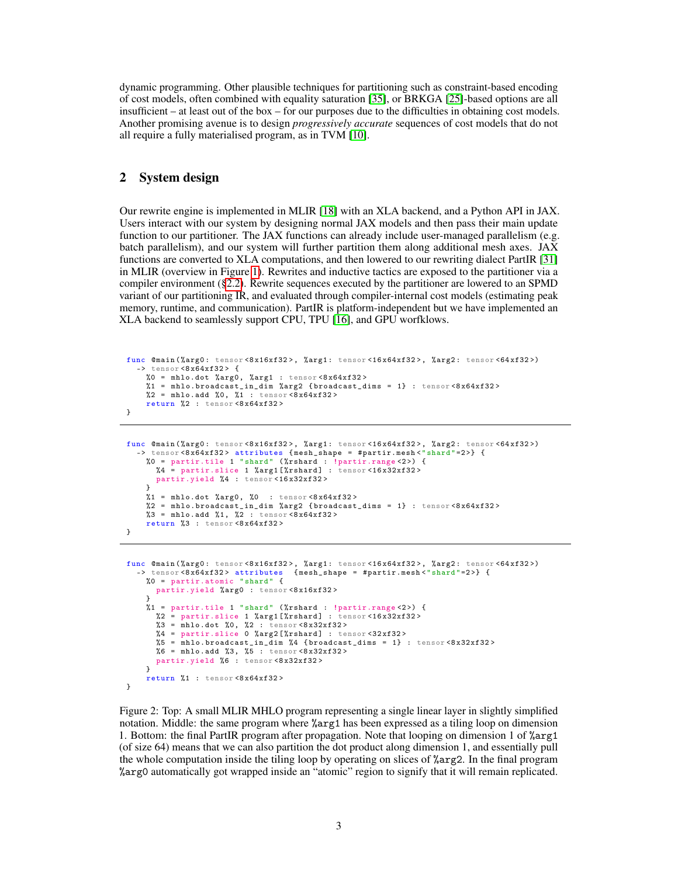dynamic programming. Other plausible techniques for partitioning such as constraint-based encoding of cost models, often combined with equality saturation [\[35\]](#page-10-1), or BRKGA [\[25\]](#page-9-8)-based options are all insufficient – at least out of the box – for our purposes due to the difficulties in obtaining cost models. Another promising avenue is to design *progressively accurate* sequences of cost models that do not all require a fully materialised program, as in TVM [\[10\]](#page-7-3).

# 2 System design

Our rewrite engine is implemented in MLIR [\[18\]](#page-8-8) with an XLA backend, and a Python API in JAX. Users interact with our system by designing normal JAX models and then pass their main update function to our partitioner. The JAX functions can already include user-managed parallelism (e.g. batch parallelism), and our system will further partition them along additional mesh axes. JAX functions are converted to XLA computations, and then lowered to our rewriting dialect PartIR [\[31\]](#page-9-9) in MLIR (overview in Figure [1\)](#page-1-1). Rewrites and inductive tactics are exposed to the partitioner via a compiler environment ([§2.2\)](#page-3-1). Rewrite sequences executed by the partitioner are lowered to an SPMD variant of our partitioning IR, and evaluated through compiler-internal cost models (estimating peak memory, runtime, and communication). PartIR is platform-independent but we have implemented an XLA backend to seamlessly support CPU, TPU [\[16\]](#page-8-9), and GPU worfklows.

```
func @main(%arg0: tensor<8x16xf32>, %arg1: tensor<16x64xf32>, %arg2: tensor<64xf32>)
  \rightarrow tensor <8x64xf32> {
    %0 = mhlo.dot %arg0, %arg1 : tensor <8 x64xf32 >
    %1 = mhlo.broadcast_in_dim %arg2 {broadcast_dims = 1} : tensor <8x64xf32 >2 = mhlo.add 20, 1 : tensor <8x64xf32>
    return %2 : tensor <8 x64xf32 >
}
```

```
func @main (%arg0: tensor <8x16xf32>, %arg1: tensor <16x64xf32>, %arg2: tensor <64xf32>)
     tensor <8x64xf32> attributes {mesh_shape = #partir.mesh <" shard "=2>} {
    %0 = partir.tile 1 " shard " ( %rshard : !partir.range <2 >) {
      %4 = partir.slice 1 %arg1 [%rshard] : tensor <16x32xf32>
      partir.yield %4 : tensor<16x32xf32>
     }
    %1 = mhlo.dot %arg0, %0 : tensor <8x64xf32>
     %2 = mhlo.broadcast_in_dim %arg2 { broadcast_dims = 1} : tensor <8 x64xf32 >
%3 = mhlo.add %1, %2 : tensor <8 x64xf32 >
    return %3 : tensor <8 x64xf32 >
}
```

```
func @main (%arg0: tensor <8x16xf32>, %arg1: tensor <16x64xf32>, %arg2: tensor <64xf32>)
  -> tensor <8 x64xf32 > attributes { mesh_shape = #partir.mesh <" shard "=2 >} {
    %0 = partir.atomic "shard" {
      partir.yield %arg0 : tensor <8 x16xf32 >
    }
%1 = partir.tile 1 " shard " ( %rshard : !partir.range <2 >) {
      \chi_2 = partir.slice 1 \chiarg1[\chirshard] : tensor<16x32xf32>
      %3 = mhlo.dot %0, %2 : tensor <8x32xf32>
      %4 = partir.slice 0 %arg2 [%rshard] : tensor <32xf32>
      %5 = mhlo.broadcast_in_dim %4 {broadcast_dims = 1} : tensor <8x32xf32>
      % 6 = mhlo.add % 3, % 5: tensor <8x32xf32>
      partir.yield %6 : tensor <8 x32xf32 >
    }
    return %1 : tensor <8 x64xf32 >
}
```
Figure 2: Top: A small MLIR MHLO program representing a single linear layer in slightly simplified notation. Middle: the same program where %arg1 has been expressed as a tiling loop on dimension 1. Bottom: the final PartIR program after propagation. Note that looping on dimension 1 of %arg1 (of size 64) means that we can also partition the dot product along dimension 1, and essentially pull the whole computation inside the tiling loop by operating on slices of %arg2. In the final program %arg0 automatically got wrapped inside an "atomic" region to signify that it will remain replicated.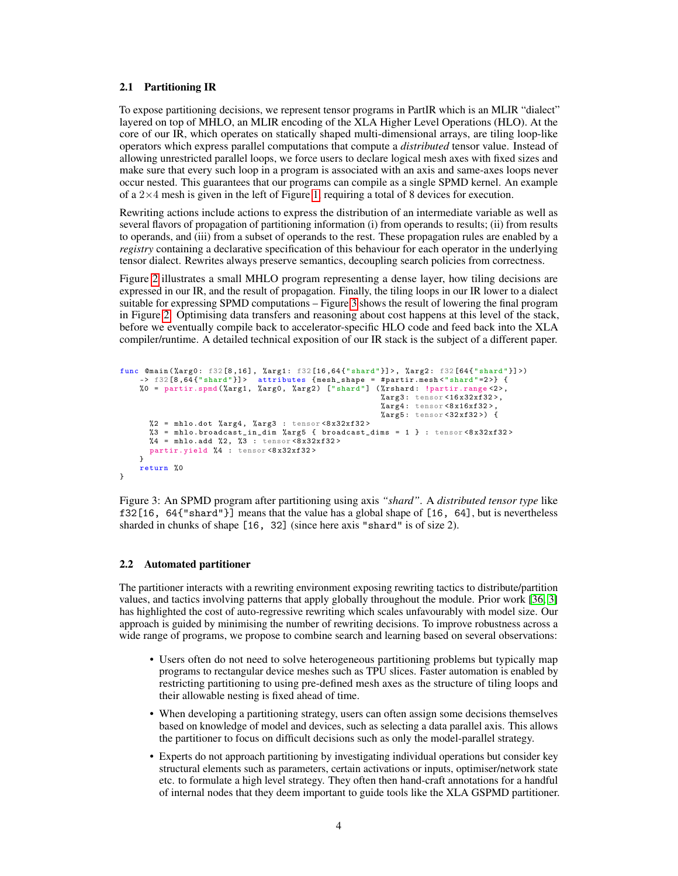#### <span id="page-3-0"></span>2.1 Partitioning IR

To expose partitioning decisions, we represent tensor programs in PartIR which is an MLIR "dialect" layered on top of MHLO, an MLIR encoding of the XLA Higher Level Operations (HLO). At the core of our IR, which operates on statically shaped multi-dimensional arrays, are tiling loop-like operators which express parallel computations that compute a *distributed* tensor value. Instead of allowing unrestricted parallel loops, we force users to declare logical mesh axes with fixed sizes and make sure that every such loop in a program is associated with an axis and same-axes loops never occur nested. This guarantees that our programs can compile as a single SPMD kernel. An example of a  $2\times 4$  mesh is given in the left of Figure [1,](#page-1-1) requiring a total of 8 devices for execution.

Rewriting actions include actions to express the distribution of an intermediate variable as well as several flavors of propagation of partitioning information (i) from operands to results; (ii) from results to operands, and (iii) from a subset of operands to the rest. These propagation rules are enabled by a *registry* containing a declarative specification of this behaviour for each operator in the underlying tensor dialect. Rewrites always preserve semantics, decoupling search policies from correctness.

Figure [2](#page-2-0) illustrates a small MHLO program representing a dense layer, how tiling decisions are expressed in our IR, and the result of propagation. Finally, the tiling loops in our IR lower to a dialect suitable for expressing SPMD computations – Figure [3](#page-3-2) shows the result of lowering the final program in Figure [2.](#page-2-0) Optimising data transfers and reasoning about cost happens at this level of the stack, before we eventually compile back to accelerator-specific HLO code and feed back into the XLA compiler/runtime. A detailed technical exposition of our IR stack is the subject of a different paper.

```
func @main(%arg0: f32[8,16], %arg1: f32[16,64{"shard"}]>, %arg2: f32[64{"shard"}]>)
     -> f32[8,64{"shard"}]> attributes {mesh_shape = #partir.mesh<"shard"=2>} {<br>%0 = partir.spmd(%arg1, %arg0, %arg2) ["shard"] (%rshard: !partir.range<2>,
                                                                    %arg3 : tensor <16 x32xf32 >,
                                                                     %arg4: tensor <8x16xf32>,
                                                                    %arg5: tensor <math>32xf32> {
       %2 = mhlo.dot %arg4, %arg3 : tensor <math>\langle 8x32xf32 \rangle%3 = mhlo.broadcast_in_dim %arg5 { broadcast_dims = 1 } : tensor <8 x32xf32 >
       %4 = mhlo.add %2, %3 : tensor <8x32xf32>
       partir.yield %4 : tensor <8 x32xf32 >
     \mathbf{r}return %0
}
```
Figure 3: An SPMD program after partitioning using axis *"shard"*. A *distributed tensor type* like f32[16, 64{"shard"}] means that the value has a global shape of [16, 64], but is nevertheless sharded in chunks of shape [16, 32] (since here axis "shard" is of size 2).

#### <span id="page-3-1"></span>2.2 Automated partitioner

The partitioner interacts with a rewriting environment exposing rewriting tactics to distribute/partition values, and tactics involving patterns that apply globally throughout the module. Prior work [\[36,](#page-10-0) [3\]](#page-7-4) has highlighted the cost of auto-regressive rewriting which scales unfavourably with model size. Our approach is guided by minimising the number of rewriting decisions. To improve robustness across a wide range of programs, we propose to combine search and learning based on several observations:

- Users often do not need to solve heterogeneous partitioning problems but typically map programs to rectangular device meshes such as TPU slices. Faster automation is enabled by restricting partitioning to using pre-defined mesh axes as the structure of tiling loops and their allowable nesting is fixed ahead of time.
- When developing a partitioning strategy, users can often assign some decisions themselves based on knowledge of model and devices, such as selecting a data parallel axis. This allows the partitioner to focus on difficult decisions such as only the model-parallel strategy.
- Experts do not approach partitioning by investigating individual operations but consider key structural elements such as parameters, certain activations or inputs, optimiser/network state etc. to formulate a high level strategy. They often then hand-craft annotations for a handful of internal nodes that they deem important to guide tools like the XLA GSPMD partitioner.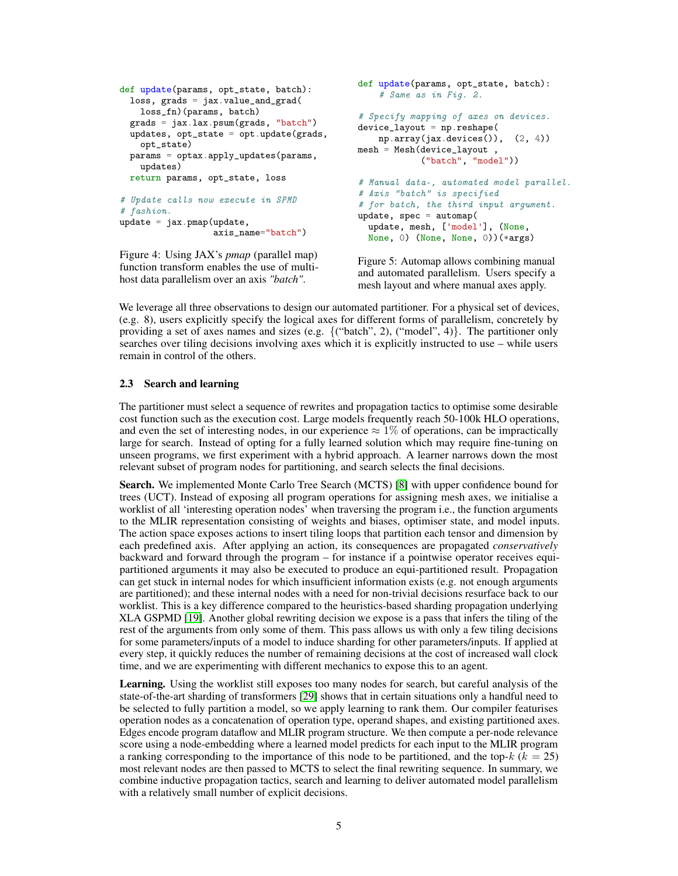```
def update(params, opt_state, batch):
 loss, grads = jax.value_and_grad(
    loss_fn)(params, batch)
  grads = jax.lax.psum(grads, "batch")
  updates, opt_state = opt.update(grads,
    opt_state)
 params = optax.apply_updates(params,
    updates)
 return params, opt_state, loss
# Update calls now execute in SPMD
# fashion.
update = jax.png (update,axis_name="batch")
                                              def update(params, opt_state, batch):
                                                  # Same as in Fig. 2.
                                               # Specify mapping of axes on devices.
                                              device_layout = np.reshape(
                                                  np.array(jax.devices()), (2, 4))
                                              mesh = Mesh(device\_layout,
                                                           ("batch", "model"))
                                               # Manual data-, automated model parallel.
                                               # Axis "batch" is specified
                                              update, spec = automap(update, mesh, ['model'], (None,
```
Figure 4: Using JAX's *pmap* (parallel map) function transform enables the use of multihost data parallelism over an axis *"batch"*.

```
# for batch, the third input argument.
 None, 0) (None, None, 0))(*args)
```
Figure 5: Automap allows combining manual and automated parallelism. Users specify a mesh layout and where manual axes apply.

We leverage all three observations to design our automated partitioner. For a physical set of devices, (e.g. 8), users explicitly specify the logical axes for different forms of parallelism, concretely by providing a set of axes names and sizes (e.g.  $\{("batch", 2), ("model", 4)\}$ . The partitioner only searches over tiling decisions involving axes which it is explicitly instructed to use – while users remain in control of the others.

### 2.3 Search and learning

The partitioner must select a sequence of rewrites and propagation tactics to optimise some desirable cost function such as the execution cost. Large models frequently reach 50-100k HLO operations, and even the set of interesting nodes, in our experience  $\approx 1\%$  of operations, can be impractically large for search. Instead of opting for a fully learned solution which may require fine-tuning on unseen programs, we first experiment with a hybrid approach. A learner narrows down the most relevant subset of program nodes for partitioning, and search selects the final decisions.

Search. We implemented Monte Carlo Tree Search (MCTS) [\[8\]](#page-7-5) with upper confidence bound for trees (UCT). Instead of exposing all program operations for assigning mesh axes, we initialise a worklist of all 'interesting operation nodes' when traversing the program i.e., the function arguments to the MLIR representation consisting of weights and biases, optimiser state, and model inputs. The action space exposes actions to insert tiling loops that partition each tensor and dimension by each predefined axis. After applying an action, its consequences are propagated *conservatively* backward and forward through the program – for instance if a pointwise operator receives equipartitioned arguments it may also be executed to produce an equi-partitioned result. Propagation can get stuck in internal nodes for which insufficient information exists (e.g. not enough arguments are partitioned); and these internal nodes with a need for non-trivial decisions resurface back to our worklist. This is a key difference compared to the heuristics-based sharding propagation underlying XLA GSPMD [\[19\]](#page-8-0). Another global rewriting decision we expose is a pass that infers the tiling of the rest of the arguments from only some of them. This pass allows us with only a few tiling decisions for some parameters/inputs of a model to induce sharding for other parameters/inputs. If applied at every step, it quickly reduces the number of remaining decisions at the cost of increased wall clock time, and we are experimenting with different mechanics to expose this to an agent.

Learning. Using the worklist still exposes too many nodes for search, but careful analysis of the state-of-the-art sharding of transformers [\[29\]](#page-9-0) shows that in certain situations only a handful need to be selected to fully partition a model, so we apply learning to rank them. Our compiler featurises operation nodes as a concatenation of operation type, operand shapes, and existing partitioned axes. Edges encode program dataflow and MLIR program structure. We then compute a per-node relevance score using a node-embedding where a learned model predicts for each input to the MLIR program a ranking corresponding to the importance of this node to be partitioned, and the top- $k$  ( $k = 25$ ) most relevant nodes are then passed to MCTS to select the final rewriting sequence. In summary, we combine inductive propagation tactics, search and learning to deliver automated model parallelism with a relatively small number of explicit decisions.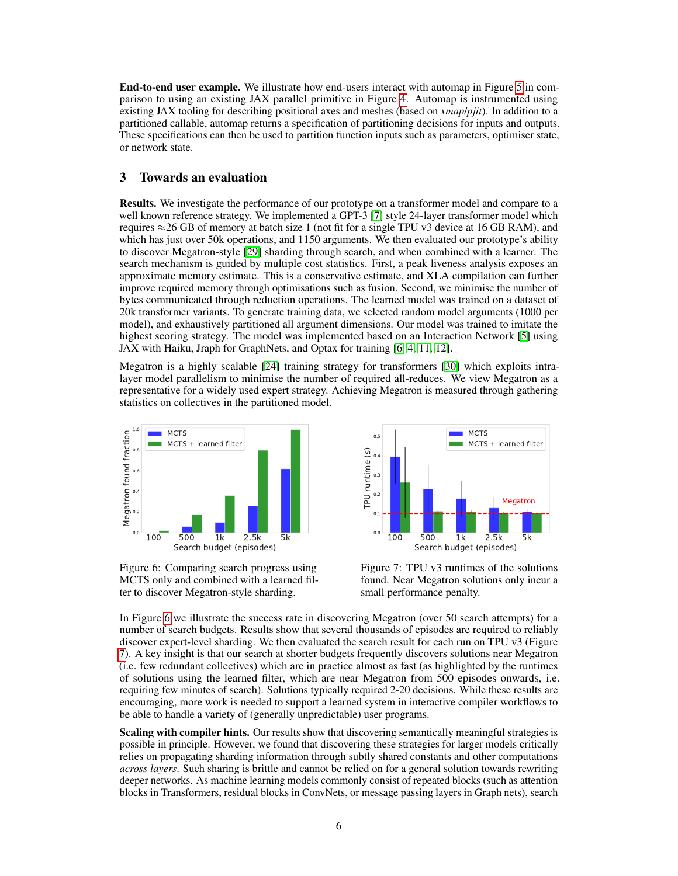End-to-end user example. We illustrate how end-users interact with automap in Figure [5](#page-4-0) in comparison to using an existing JAX parallel primitive in Figure [4.](#page-4-0) Automap is instrumented using existing JAX tooling for describing positional axes and meshes (based on *xmap*/*pjit*). In addition to a partitioned callable, automap returns a specification of partitioning decisions for inputs and outputs. These specifications can then be used to partition function inputs such as parameters, optimiser state, or network state.

## 3 Towards an evaluation

Results. We investigate the performance of our prototype on a transformer model and compare to a well known reference strategy. We implemented a GPT-3 [\[7\]](#page-7-0) style 24-layer transformer model which requires  $\approx$  26 GB of memory at batch size 1 (not fit for a single TPU v3 device at 16 GB RAM), and which has just over 50k operations, and 1150 arguments. We then evaluated our prototype's ability to discover Megatron-style [\[29\]](#page-9-0) sharding through search, and when combined with a learner. The search mechanism is guided by multiple cost statistics. First, a peak liveness analysis exposes an approximate memory estimate. This is a conservative estimate, and XLA compilation can further improve required memory through optimisations such as fusion. Second, we minimise the number of bytes communicated through reduction operations. The learned model was trained on a dataset of 20k transformer variants. To generate training data, we selected random model arguments (1000 per model), and exhaustively partitioned all argument dimensions. Our model was trained to imitate the highest scoring strategy. The model was implemented based on an Interaction Network [\[5\]](#page-7-6) using JAX with Haiku, Jraph for GraphNets, and Optax for training [\[6,](#page-7-2) [4,](#page-7-7) [11,](#page-7-8) [12\]](#page-7-9).

Megatron is a highly scalable [\[24\]](#page-9-10) training strategy for transformers [\[30\]](#page-9-11) which exploits intralayer model parallelism to minimise the number of required all-reduces. We view Megatron as a representative for a widely used expert strategy. Achieving Megatron is measured through gathering statistics on collectives in the partitioned model.

<span id="page-5-0"></span>

Figure 6: Comparing search progress using MCTS only and combined with a learned filter to discover Megatron-style sharding.



Figure 7: TPU v3 runtimes of the solutions found. Near Megatron solutions only incur a small performance penalty.

In Figure [6](#page-5-0) we illustrate the success rate in discovering Megatron (over 50 search attempts) for a number of search budgets. Results show that several thousands of episodes are required to reliably discover expert-level sharding. We then evaluated the search result for each run on TPU v3 (Figure [7\)](#page-5-0). A key insight is that our search at shorter budgets frequently discovers solutions near Megatron (i.e. few redundant collectives) which are in practice almost as fast (as highlighted by the runtimes of solutions using the learned filter, which are near Megatron from 500 episodes onwards, i.e. requiring few minutes of search). Solutions typically required 2-20 decisions. While these results are encouraging, more work is needed to support a learned system in interactive compiler workflows to be able to handle a variety of (generally unpredictable) user programs.

Scaling with compiler hints. Our results show that discovering semantically meaningful strategies is possible in principle. However, we found that discovering these strategies for larger models critically relies on propagating sharding information through subtly shared constants and other computations *across layers*. Such sharing is brittle and cannot be relied on for a general solution towards rewriting deeper networks. As machine learning models commonly consist of repeated blocks (such as attention blocks in Transformers, residual blocks in ConvNets, or message passing layers in Graph nets), search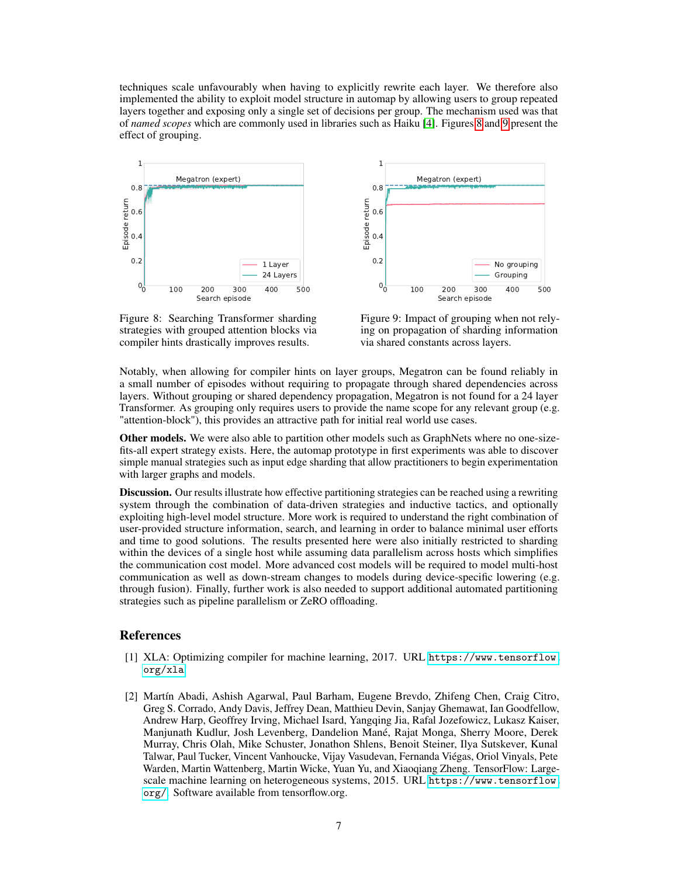techniques scale unfavourably when having to explicitly rewrite each layer. We therefore also implemented the ability to exploit model structure in automap by allowing users to group repeated layers together and exposing only a single set of decisions per group. The mechanism used was that of *named scopes* which are commonly used in libraries such as Haiku [\[4\]](#page-7-7). Figures [8](#page-6-2) and [9](#page-6-2) present the effect of grouping.

<span id="page-6-2"></span>

Figure 8: Searching Transformer sharding strategies with grouped attention blocks via compiler hints drastically improves results.



Figure 9: Impact of grouping when not relying on propagation of sharding information via shared constants across layers.

Notably, when allowing for compiler hints on layer groups, Megatron can be found reliably in a small number of episodes without requiring to propagate through shared dependencies across layers. Without grouping or shared dependency propagation, Megatron is not found for a 24 layer Transformer. As grouping only requires users to provide the name scope for any relevant group (e.g. "attention-block"), this provides an attractive path for initial real world use cases.

Other models. We were also able to partition other models such as GraphNets where no one-sizefits-all expert strategy exists. Here, the automap prototype in first experiments was able to discover simple manual strategies such as input edge sharding that allow practitioners to begin experimentation with larger graphs and models.

Discussion. Our results illustrate how effective partitioning strategies can be reached using a rewriting system through the combination of data-driven strategies and inductive tactics, and optionally exploiting high-level model structure. More work is required to understand the right combination of user-provided structure information, search, and learning in order to balance minimal user efforts and time to good solutions. The results presented here were also initially restricted to sharding within the devices of a single host while assuming data parallelism across hosts which simplifies the communication cost model. More advanced cost models will be required to model multi-host communication as well as down-stream changes to models during device-specific lowering (e.g. through fusion). Finally, further work is also needed to support additional automated partitioning strategies such as pipeline parallelism or ZeRO offloading.

# References

- <span id="page-6-1"></span>[1] XLA: Optimizing compiler for machine learning, 2017. URL [https://www.tensorflow.](https://www.tensorflow.org/xla) [org/xla](https://www.tensorflow.org/xla).
- <span id="page-6-0"></span>[2] Martín Abadi, Ashish Agarwal, Paul Barham, Eugene Brevdo, Zhifeng Chen, Craig Citro, Greg S. Corrado, Andy Davis, Jeffrey Dean, Matthieu Devin, Sanjay Ghemawat, Ian Goodfellow, Andrew Harp, Geoffrey Irving, Michael Isard, Yangqing Jia, Rafal Jozefowicz, Lukasz Kaiser, Manjunath Kudlur, Josh Levenberg, Dandelion Mané, Rajat Monga, Sherry Moore, Derek Murray, Chris Olah, Mike Schuster, Jonathon Shlens, Benoit Steiner, Ilya Sutskever, Kunal Talwar, Paul Tucker, Vincent Vanhoucke, Vijay Vasudevan, Fernanda Viégas, Oriol Vinyals, Pete Warden, Martin Wattenberg, Martin Wicke, Yuan Yu, and Xiaoqiang Zheng. TensorFlow: Largescale machine learning on heterogeneous systems, 2015. URL [https://www.tensorflow.](https://www.tensorflow.org/) [org/](https://www.tensorflow.org/). Software available from tensorflow.org.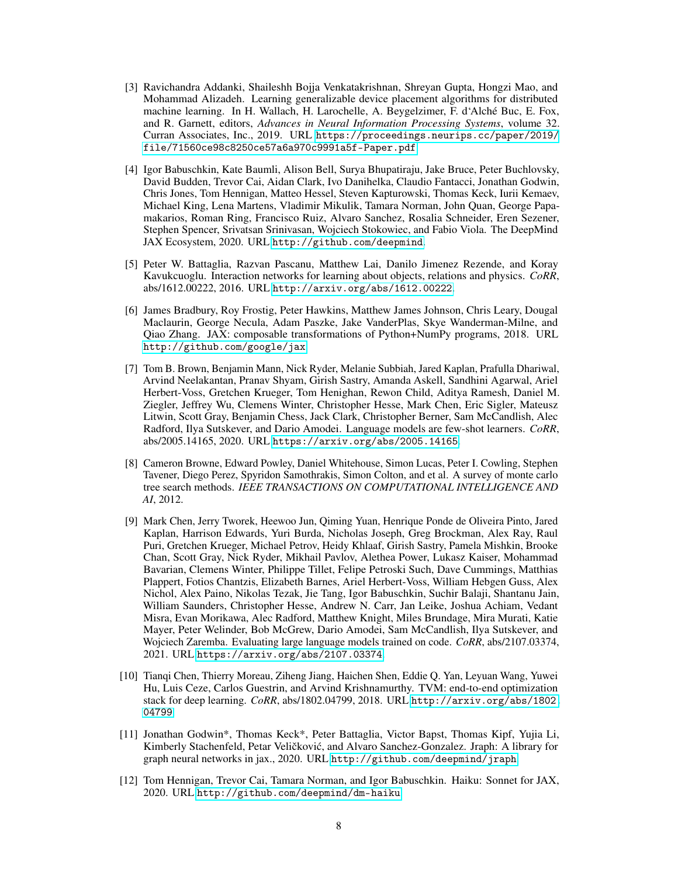- <span id="page-7-4"></span>[3] Ravichandra Addanki, Shaileshh Bojja Venkatakrishnan, Shreyan Gupta, Hongzi Mao, and Mohammad Alizadeh. Learning generalizable device placement algorithms for distributed machine learning. In H. Wallach, H. Larochelle, A. Beygelzimer, F. d'Alché Buc, E. Fox, and R. Garnett, editors, *Advances in Neural Information Processing Systems*, volume 32. Curran Associates, Inc., 2019. URL [https://proceedings.neurips.cc/paper/2019/](https://proceedings.neurips.cc/paper/2019/file/71560ce98c8250ce57a6a970c9991a5f-Paper.pdf) [file/71560ce98c8250ce57a6a970c9991a5f-Paper.pdf](https://proceedings.neurips.cc/paper/2019/file/71560ce98c8250ce57a6a970c9991a5f-Paper.pdf).
- <span id="page-7-7"></span>[4] Igor Babuschkin, Kate Baumli, Alison Bell, Surya Bhupatiraju, Jake Bruce, Peter Buchlovsky, David Budden, Trevor Cai, Aidan Clark, Ivo Danihelka, Claudio Fantacci, Jonathan Godwin, Chris Jones, Tom Hennigan, Matteo Hessel, Steven Kapturowski, Thomas Keck, Iurii Kemaev, Michael King, Lena Martens, Vladimir Mikulik, Tamara Norman, John Quan, George Papamakarios, Roman Ring, Francisco Ruiz, Alvaro Sanchez, Rosalia Schneider, Eren Sezener, Stephen Spencer, Srivatsan Srinivasan, Wojciech Stokowiec, and Fabio Viola. The DeepMind JAX Ecosystem, 2020. URL <http://github.com/deepmind>.
- <span id="page-7-6"></span>[5] Peter W. Battaglia, Razvan Pascanu, Matthew Lai, Danilo Jimenez Rezende, and Koray Kavukcuoglu. Interaction networks for learning about objects, relations and physics. *CoRR*, abs/1612.00222, 2016. URL <http://arxiv.org/abs/1612.00222>.
- <span id="page-7-2"></span>[6] James Bradbury, Roy Frostig, Peter Hawkins, Matthew James Johnson, Chris Leary, Dougal Maclaurin, George Necula, Adam Paszke, Jake VanderPlas, Skye Wanderman-Milne, and Qiao Zhang. JAX: composable transformations of Python+NumPy programs, 2018. URL <http://github.com/google/jax>.
- <span id="page-7-0"></span>[7] Tom B. Brown, Benjamin Mann, Nick Ryder, Melanie Subbiah, Jared Kaplan, Prafulla Dhariwal, Arvind Neelakantan, Pranav Shyam, Girish Sastry, Amanda Askell, Sandhini Agarwal, Ariel Herbert-Voss, Gretchen Krueger, Tom Henighan, Rewon Child, Aditya Ramesh, Daniel M. Ziegler, Jeffrey Wu, Clemens Winter, Christopher Hesse, Mark Chen, Eric Sigler, Mateusz Litwin, Scott Gray, Benjamin Chess, Jack Clark, Christopher Berner, Sam McCandlish, Alec Radford, Ilya Sutskever, and Dario Amodei. Language models are few-shot learners. *CoRR*, abs/2005.14165, 2020. URL <https://arxiv.org/abs/2005.14165>.
- <span id="page-7-5"></span>[8] Cameron Browne, Edward Powley, Daniel Whitehouse, Simon Lucas, Peter I. Cowling, Stephen Tavener, Diego Perez, Spyridon Samothrakis, Simon Colton, and et al. A survey of monte carlo tree search methods. *IEEE TRANSACTIONS ON COMPUTATIONAL INTELLIGENCE AND AI*, 2012.
- <span id="page-7-1"></span>[9] Mark Chen, Jerry Tworek, Heewoo Jun, Qiming Yuan, Henrique Ponde de Oliveira Pinto, Jared Kaplan, Harrison Edwards, Yuri Burda, Nicholas Joseph, Greg Brockman, Alex Ray, Raul Puri, Gretchen Krueger, Michael Petrov, Heidy Khlaaf, Girish Sastry, Pamela Mishkin, Brooke Chan, Scott Gray, Nick Ryder, Mikhail Pavlov, Alethea Power, Lukasz Kaiser, Mohammad Bavarian, Clemens Winter, Philippe Tillet, Felipe Petroski Such, Dave Cummings, Matthias Plappert, Fotios Chantzis, Elizabeth Barnes, Ariel Herbert-Voss, William Hebgen Guss, Alex Nichol, Alex Paino, Nikolas Tezak, Jie Tang, Igor Babuschkin, Suchir Balaji, Shantanu Jain, William Saunders, Christopher Hesse, Andrew N. Carr, Jan Leike, Joshua Achiam, Vedant Misra, Evan Morikawa, Alec Radford, Matthew Knight, Miles Brundage, Mira Murati, Katie Mayer, Peter Welinder, Bob McGrew, Dario Amodei, Sam McCandlish, Ilya Sutskever, and Wojciech Zaremba. Evaluating large language models trained on code. *CoRR*, abs/2107.03374, 2021. URL <https://arxiv.org/abs/2107.03374>.
- <span id="page-7-3"></span>[10] Tianqi Chen, Thierry Moreau, Ziheng Jiang, Haichen Shen, Eddie Q. Yan, Leyuan Wang, Yuwei Hu, Luis Ceze, Carlos Guestrin, and Arvind Krishnamurthy. TVM: end-to-end optimization stack for deep learning. *CoRR*, abs/1802.04799, 2018. URL [http://arxiv.org/abs/1802.](http://arxiv.org/abs/1802.04799) [04799](http://arxiv.org/abs/1802.04799).
- <span id="page-7-8"></span>[11] Jonathan Godwin\*, Thomas Keck\*, Peter Battaglia, Victor Bapst, Thomas Kipf, Yujia Li, Kimberly Stachenfeld, Petar Veličković, and Alvaro Sanchez-Gonzalez. Jraph: A library for graph neural networks in jax., 2020. URL <http://github.com/deepmind/jraph>.
- <span id="page-7-9"></span>[12] Tom Hennigan, Trevor Cai, Tamara Norman, and Igor Babuschkin. Haiku: Sonnet for JAX, 2020. URL <http://github.com/deepmind/dm-haiku>.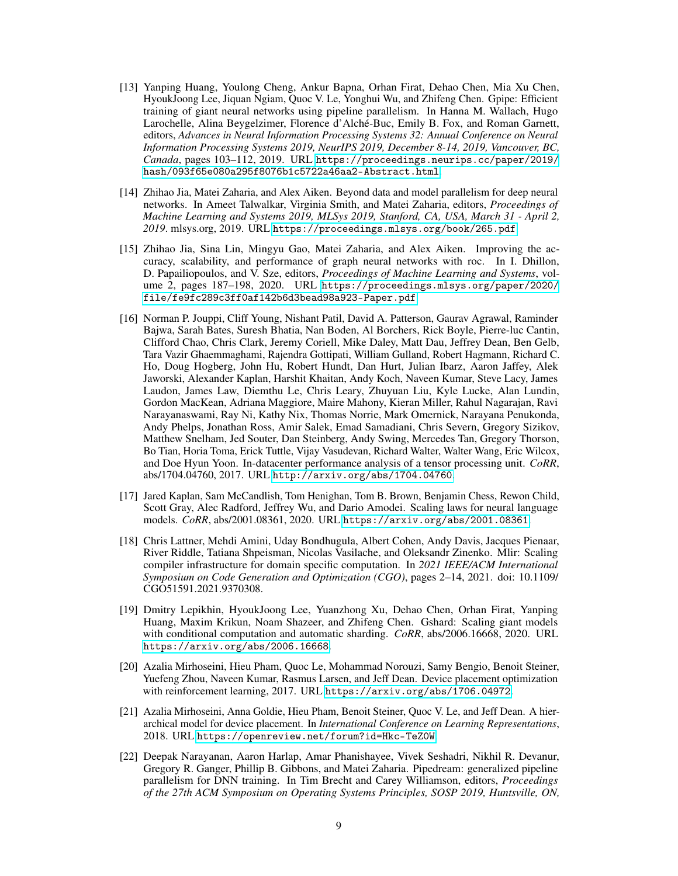- <span id="page-8-2"></span>[13] Yanping Huang, Youlong Cheng, Ankur Bapna, Orhan Firat, Dehao Chen, Mia Xu Chen, HyoukJoong Lee, Jiquan Ngiam, Quoc V. Le, Yonghui Wu, and Zhifeng Chen. Gpipe: Efficient training of giant neural networks using pipeline parallelism. In Hanna M. Wallach, Hugo Larochelle, Alina Beygelzimer, Florence d'Alché-Buc, Emily B. Fox, and Roman Garnett, editors, *Advances in Neural Information Processing Systems 32: Annual Conference on Neural Information Processing Systems 2019, NeurIPS 2019, December 8-14, 2019, Vancouver, BC, Canada*, pages 103–112, 2019. URL [https://proceedings.neurips.cc/paper/2019/](https://proceedings.neurips.cc/paper/2019/hash/093f65e080a295f8076b1c5722a46aa2-Abstract.html) [hash/093f65e080a295f8076b1c5722a46aa2-Abstract.html](https://proceedings.neurips.cc/paper/2019/hash/093f65e080a295f8076b1c5722a46aa2-Abstract.html).
- <span id="page-8-6"></span>[14] Zhihao Jia, Matei Zaharia, and Alex Aiken. Beyond data and model parallelism for deep neural networks. In Ameet Talwalkar, Virginia Smith, and Matei Zaharia, editors, *Proceedings of Machine Learning and Systems 2019, MLSys 2019, Stanford, CA, USA, March 31 - April 2, 2019*. mlsys.org, 2019. URL <https://proceedings.mlsys.org/book/265.pdf>.
- <span id="page-8-7"></span>[15] Zhihao Jia, Sina Lin, Mingyu Gao, Matei Zaharia, and Alex Aiken. Improving the accuracy, scalability, and performance of graph neural networks with roc. In I. Dhillon, D. Papailiopoulos, and V. Sze, editors, *Proceedings of Machine Learning and Systems*, volume 2, pages 187-198, 2020. URL [https://proceedings.mlsys.org/paper/2020/](https://proceedings.mlsys.org/paper/2020/file/fe9fc289c3ff0af142b6d3bead98a923-Paper.pdf) [file/fe9fc289c3ff0af142b6d3bead98a923-Paper.pdf](https://proceedings.mlsys.org/paper/2020/file/fe9fc289c3ff0af142b6d3bead98a923-Paper.pdf).
- <span id="page-8-9"></span>[16] Norman P. Jouppi, Cliff Young, Nishant Patil, David A. Patterson, Gaurav Agrawal, Raminder Bajwa, Sarah Bates, Suresh Bhatia, Nan Boden, Al Borchers, Rick Boyle, Pierre-luc Cantin, Clifford Chao, Chris Clark, Jeremy Coriell, Mike Daley, Matt Dau, Jeffrey Dean, Ben Gelb, Tara Vazir Ghaemmaghami, Rajendra Gottipati, William Gulland, Robert Hagmann, Richard C. Ho, Doug Hogberg, John Hu, Robert Hundt, Dan Hurt, Julian Ibarz, Aaron Jaffey, Alek Jaworski, Alexander Kaplan, Harshit Khaitan, Andy Koch, Naveen Kumar, Steve Lacy, James Laudon, James Law, Diemthu Le, Chris Leary, Zhuyuan Liu, Kyle Lucke, Alan Lundin, Gordon MacKean, Adriana Maggiore, Maire Mahony, Kieran Miller, Rahul Nagarajan, Ravi Narayanaswami, Ray Ni, Kathy Nix, Thomas Norrie, Mark Omernick, Narayana Penukonda, Andy Phelps, Jonathan Ross, Amir Salek, Emad Samadiani, Chris Severn, Gregory Sizikov, Matthew Snelham, Jed Souter, Dan Steinberg, Andy Swing, Mercedes Tan, Gregory Thorson, Bo Tian, Horia Toma, Erick Tuttle, Vijay Vasudevan, Richard Walter, Walter Wang, Eric Wilcox, and Doe Hyun Yoon. In-datacenter performance analysis of a tensor processing unit. *CoRR*, abs/1704.04760, 2017. URL <http://arxiv.org/abs/1704.04760>.
- <span id="page-8-1"></span>[17] Jared Kaplan, Sam McCandlish, Tom Henighan, Tom B. Brown, Benjamin Chess, Rewon Child, Scott Gray, Alec Radford, Jeffrey Wu, and Dario Amodei. Scaling laws for neural language models. *CoRR*, abs/2001.08361, 2020. URL <https://arxiv.org/abs/2001.08361>.
- <span id="page-8-8"></span>[18] Chris Lattner, Mehdi Amini, Uday Bondhugula, Albert Cohen, Andy Davis, Jacques Pienaar, River Riddle, Tatiana Shpeisman, Nicolas Vasilache, and Oleksandr Zinenko. Mlir: Scaling compiler infrastructure for domain specific computation. In *2021 IEEE/ACM International Symposium on Code Generation and Optimization (CGO)*, pages 2–14, 2021. doi: 10.1109/ CGO51591.2021.9370308.
- <span id="page-8-0"></span>[19] Dmitry Lepikhin, HyoukJoong Lee, Yuanzhong Xu, Dehao Chen, Orhan Firat, Yanping Huang, Maxim Krikun, Noam Shazeer, and Zhifeng Chen. Gshard: Scaling giant models with conditional computation and automatic sharding. *CoRR*, abs/2006.16668, 2020. URL <https://arxiv.org/abs/2006.16668>.
- <span id="page-8-4"></span>[20] Azalia Mirhoseini, Hieu Pham, Quoc Le, Mohammad Norouzi, Samy Bengio, Benoit Steiner, Yuefeng Zhou, Naveen Kumar, Rasmus Larsen, and Jeff Dean. Device placement optimization with reinforcement learning, 2017. URL <https://arxiv.org/abs/1706.04972>.
- <span id="page-8-5"></span>[21] Azalia Mirhoseini, Anna Goldie, Hieu Pham, Benoit Steiner, Quoc V. Le, and Jeff Dean. A hierarchical model for device placement. In *International Conference on Learning Representations*, 2018. URL <https://openreview.net/forum?id=Hkc-TeZ0W>.
- <span id="page-8-3"></span>[22] Deepak Narayanan, Aaron Harlap, Amar Phanishayee, Vivek Seshadri, Nikhil R. Devanur, Gregory R. Ganger, Phillip B. Gibbons, and Matei Zaharia. Pipedream: generalized pipeline parallelism for DNN training. In Tim Brecht and Carey Williamson, editors, *Proceedings of the 27th ACM Symposium on Operating Systems Principles, SOSP 2019, Huntsville, ON,*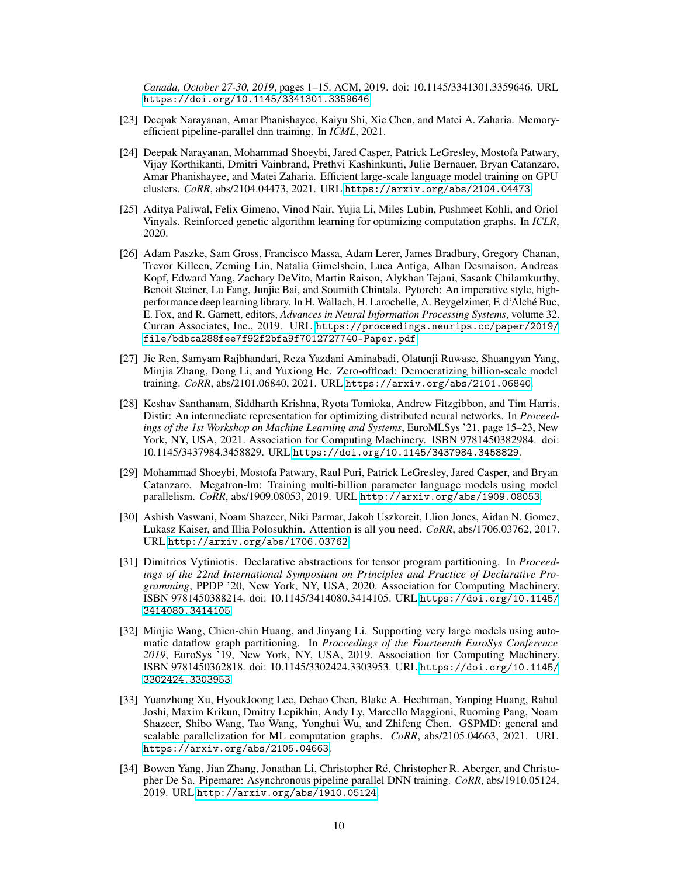*Canada, October 27-30, 2019*, pages 1–15. ACM, 2019. doi: 10.1145/3341301.3359646. URL <https://doi.org/10.1145/3341301.3359646>.

- <span id="page-9-1"></span>[23] Deepak Narayanan, Amar Phanishayee, Kaiyu Shi, Xie Chen, and Matei A. Zaharia. Memoryefficient pipeline-parallel dnn training. In *ICML*, 2021.
- <span id="page-9-10"></span>[24] Deepak Narayanan, Mohammad Shoeybi, Jared Casper, Patrick LeGresley, Mostofa Patwary, Vijay Korthikanti, Dmitri Vainbrand, Prethvi Kashinkunti, Julie Bernauer, Bryan Catanzaro, Amar Phanishayee, and Matei Zaharia. Efficient large-scale language model training on GPU clusters. *CoRR*, abs/2104.04473, 2021. URL <https://arxiv.org/abs/2104.04473>.
- <span id="page-9-8"></span>[25] Aditya Paliwal, Felix Gimeno, Vinod Nair, Yujia Li, Miles Lubin, Pushmeet Kohli, and Oriol Vinyals. Reinforced genetic algorithm learning for optimizing computation graphs. In *ICLR*, 2020.
- <span id="page-9-4"></span>[26] Adam Paszke, Sam Gross, Francisco Massa, Adam Lerer, James Bradbury, Gregory Chanan, Trevor Killeen, Zeming Lin, Natalia Gimelshein, Luca Antiga, Alban Desmaison, Andreas Kopf, Edward Yang, Zachary DeVito, Martin Raison, Alykhan Tejani, Sasank Chilamkurthy, Benoit Steiner, Lu Fang, Junjie Bai, and Soumith Chintala. Pytorch: An imperative style, highperformance deep learning library. In H. Wallach, H. Larochelle, A. Beygelzimer, F. d'Alché Buc, E. Fox, and R. Garnett, editors, *Advances in Neural Information Processing Systems*, volume 32. Curran Associates, Inc., 2019. URL [https://proceedings.neurips.cc/paper/2019/](https://proceedings.neurips.cc/paper/2019/file/bdbca288fee7f92f2bfa9f7012727740-Paper.pdf) [file/bdbca288fee7f92f2bfa9f7012727740-Paper.pdf](https://proceedings.neurips.cc/paper/2019/file/bdbca288fee7f92f2bfa9f7012727740-Paper.pdf).
- <span id="page-9-3"></span>[27] Jie Ren, Samyam Rajbhandari, Reza Yazdani Aminabadi, Olatunji Ruwase, Shuangyan Yang, Minjia Zhang, Dong Li, and Yuxiong He. Zero-offload: Democratizing billion-scale model training. *CoRR*, abs/2101.06840, 2021. URL <https://arxiv.org/abs/2101.06840>.
- <span id="page-9-7"></span>[28] Keshav Santhanam, Siddharth Krishna, Ryota Tomioka, Andrew Fitzgibbon, and Tim Harris. Distir: An intermediate representation for optimizing distributed neural networks. In *Proceedings of the 1st Workshop on Machine Learning and Systems*, EuroMLSys '21, page 15–23, New York, NY, USA, 2021. Association for Computing Machinery. ISBN 9781450382984. doi: 10.1145/3437984.3458829. URL <https://doi.org/10.1145/3437984.3458829>.
- <span id="page-9-0"></span>[29] Mohammad Shoeybi, Mostofa Patwary, Raul Puri, Patrick LeGresley, Jared Casper, and Bryan Catanzaro. Megatron-lm: Training multi-billion parameter language models using model parallelism. *CoRR*, abs/1909.08053, 2019. URL <http://arxiv.org/abs/1909.08053>.
- <span id="page-9-11"></span>[30] Ashish Vaswani, Noam Shazeer, Niki Parmar, Jakob Uszkoreit, Llion Jones, Aidan N. Gomez, Lukasz Kaiser, and Illia Polosukhin. Attention is all you need. *CoRR*, abs/1706.03762, 2017. URL <http://arxiv.org/abs/1706.03762>.
- <span id="page-9-9"></span>[31] Dimitrios Vytiniotis. Declarative abstractions for tensor program partitioning. In *Proceedings of the 22nd International Symposium on Principles and Practice of Declarative Programming*, PPDP '20, New York, NY, USA, 2020. Association for Computing Machinery. ISBN 9781450388214. doi: 10.1145/3414080.3414105. URL [https://doi.org/10.1145/](https://doi.org/10.1145/3414080.3414105) [3414080.3414105](https://doi.org/10.1145/3414080.3414105).
- <span id="page-9-6"></span>[32] Minjie Wang, Chien-chin Huang, and Jinyang Li. Supporting very large models using automatic dataflow graph partitioning. In *Proceedings of the Fourteenth EuroSys Conference 2019*, EuroSys '19, New York, NY, USA, 2019. Association for Computing Machinery. ISBN 9781450362818. doi: 10.1145/3302424.3303953. URL [https://doi.org/10.1145/](https://doi.org/10.1145/3302424.3303953) [3302424.3303953](https://doi.org/10.1145/3302424.3303953).
- <span id="page-9-5"></span>[33] Yuanzhong Xu, HyoukJoong Lee, Dehao Chen, Blake A. Hechtman, Yanping Huang, Rahul Joshi, Maxim Krikun, Dmitry Lepikhin, Andy Ly, Marcello Maggioni, Ruoming Pang, Noam Shazeer, Shibo Wang, Tao Wang, Yonghui Wu, and Zhifeng Chen. GSPMD: general and scalable parallelization for ML computation graphs. *CoRR*, abs/2105.04663, 2021. URL <https://arxiv.org/abs/2105.04663>.
- <span id="page-9-2"></span>[34] Bowen Yang, Jian Zhang, Jonathan Li, Christopher Ré, Christopher R. Aberger, and Christopher De Sa. Pipemare: Asynchronous pipeline parallel DNN training. *CoRR*, abs/1910.05124, 2019. URL <http://arxiv.org/abs/1910.05124>.